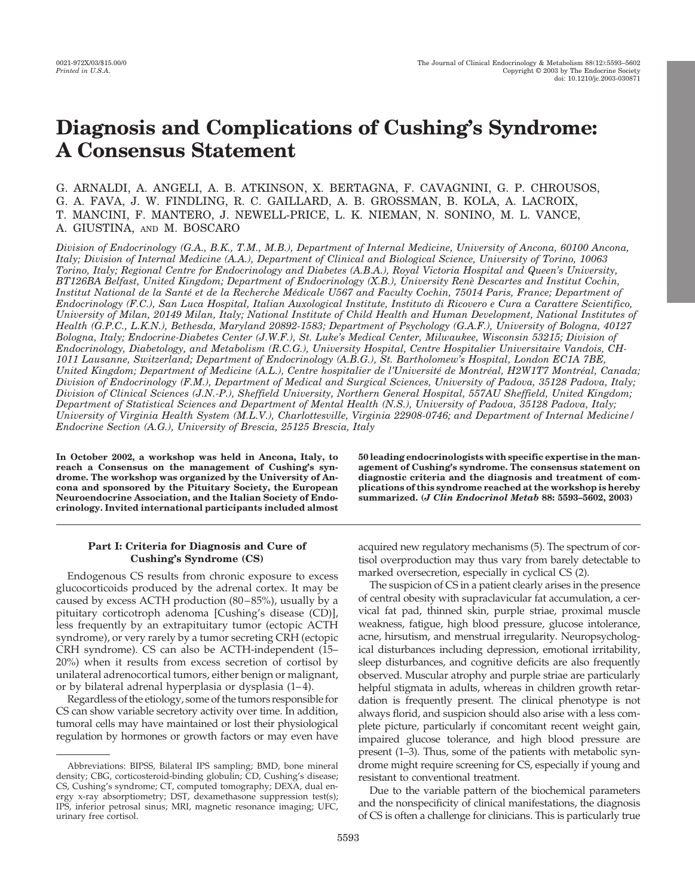# **Diagnosis and Complications of Cushing's Syndrome: A Consensus Statement**

G. ARNALDI, A. ANGELI, A. B. ATKINSON, X. BERTAGNA, F. CAVAGNINI, G. P. CHROUSOS, G. A. FAVA, J. W. FINDLING, R. C. GAILLARD, A. B. GROSSMAN, B. KOLA, A. LACROIX, T. MANCINI, F. MANTERO, J. NEWELL-PRICE, L. K. NIEMAN, N. SONINO, M. L. VANCE, A. GIUSTINA, AND M. BOSCARO

*Division of Endocrinology (G.A., B.K., T.M., M.B.), Department of Internal Medicine, University of Ancona, 60100 Ancona, Italy; Division of Internal Medicine (A.A.), Department of Clinical and Biological Science, University of Torino, 10063 Torino, Italy; Regional Centre for Endocrinology and Diabetes (A.B.A.), Royal Victoria Hospital and Queen's University, BT126BA Belfast, United Kingdom; Department of Endocrinology (X.B.), University Rene` Descartes and Institut Cochin, Institut National de la Santé et de la Recherche Médicale U567 and Faculty Cochin, 75014 Paris, France; Department of Endocrinology (F.C.), San Luca Hospital, Italian Auxological Institute, Instituto di Ricovero e Cura a Carattere Scientifico, University of Milan, 20149 Milan, Italy; National Institute of Child Health and Human Development, National Institutes of Health (G.P.C., L.K.N.), Bethesda, Maryland 20892-1583; Department of Psychology (G.A.F.), University of Bologna, 40127 Bologna, Italy; Endocrine-Diabetes Center (J.W.F.), St. Luke's Medical Center, Milwaukee, Wisconsin 53215; Division of Endocrinology, Diabetology, and Metabolism (R.C.G.), University Hospital, Centre Hospitalier Universitaire Vandois, CH-1011 Lausanne, Switzerland; Department of Endocrinology (A.B.G.), St. Bartholomew's Hospital, London EC1A 7BE, United Kingdom; Department of Medicine (A.L.), Centre hospitalier de l'Université de Montréal, H2W1T7 Montréal, Canada; Division of Endocrinology (F.M.), Department of Medical and Surgical Sciences, University of Padova, 35128 Padova, Italy; Division of Clinical Sciences (J.N.-P.), Sheffield University, Northern General Hospital, 557AU Sheffield, United Kingdom; Department of Statistical Sciences and Department of Mental Health (N.S.), University of Padova, 35128 Padova, Italy; University of Virginia Health System (M.L.V.), Charlottesville, Virginia 22908-0746; and Department of Internal Medicine/ Endocrine Section (A.G.), University of Brescia, 25125 Brescia, Italy*

**In October 2002, a workshop was held in Ancona, Italy, to reach a Consensus on the management of Cushing's syndrome. The workshop was organized by the University of Ancona and sponsored by the Pituitary Society, the European Neuroendocrine Association, and the Italian Society of Endocrinology. Invited international participants included almost**

# **Part I: Criteria for Diagnosis and Cure of Cushing's Syndrome (CS)**

Endogenous CS results from chronic exposure to excess glucocorticoids produced by the adrenal cortex. It may be caused by excess ACTH production (80–85%), usually by a pituitary corticotroph adenoma [Cushing's disease (CD)], less frequently by an extrapituitary tumor (ectopic ACTH syndrome), or very rarely by a tumor secreting CRH (ectopic CRH syndrome). CS can also be ACTH-independent (15– 20%) when it results from excess secretion of cortisol by unilateral adrenocortical tumors, either benign or malignant, or by bilateral adrenal hyperplasia or dysplasia (1–4).

Regardless of the etiology, some of the tumors responsible for CS can show variable secretory activity over time. In addition, tumoral cells may have maintained or lost their physiological regulation by hormones or growth factors or may even have **50 leading endocrinologists with specific expertise in the management of Cushing's syndrome. The consensus statement on diagnostic criteria and the diagnosis and treatment of complications of this syndrome reached at the workshop is hereby summarized. (***J Clin Endocrinol Metab* **88: 5593–5602, 2003)**

acquired new regulatory mechanisms (5). The spectrum of cortisol overproduction may thus vary from barely detectable to marked oversecretion, especially in cyclical CS (2).

The suspicion of CS in a patient clearly arises in the presence of central obesity with supraclavicular fat accumulation, a cervical fat pad, thinned skin, purple striae, proximal muscle weakness, fatigue, high blood pressure, glucose intolerance, acne, hirsutism, and menstrual irregularity. Neuropsychological disturbances including depression, emotional irritability, sleep disturbances, and cognitive deficits are also frequently observed. Muscular atrophy and purple striae are particularly helpful stigmata in adults, whereas in children growth retardation is frequently present. The clinical phenotype is not always florid, and suspicion should also arise with a less complete picture, particularly if concomitant recent weight gain, impaired glucose tolerance, and high blood pressure are present (1–3). Thus, some of the patients with metabolic syndrome might require screening for CS, especially if young and resistant to conventional treatment.

Due to the variable pattern of the biochemical parameters and the nonspecificity of clinical manifestations, the diagnosis of CS is often a challenge for clinicians. This is particularly true

Abbreviations: BIPSS, Bilateral IPS sampling; BMD, bone mineral density; CBG, corticosteroid-binding globulin; CD, Cushing's disease; CS, Cushing's syndrome; CT, computed tomography; DEXA, dual energy x-ray absorptiometry; DST, dexamethasone suppression test(s); IPS, inferior petrosal sinus; MRI, magnetic resonance imaging; UFC, urinary free cortisol.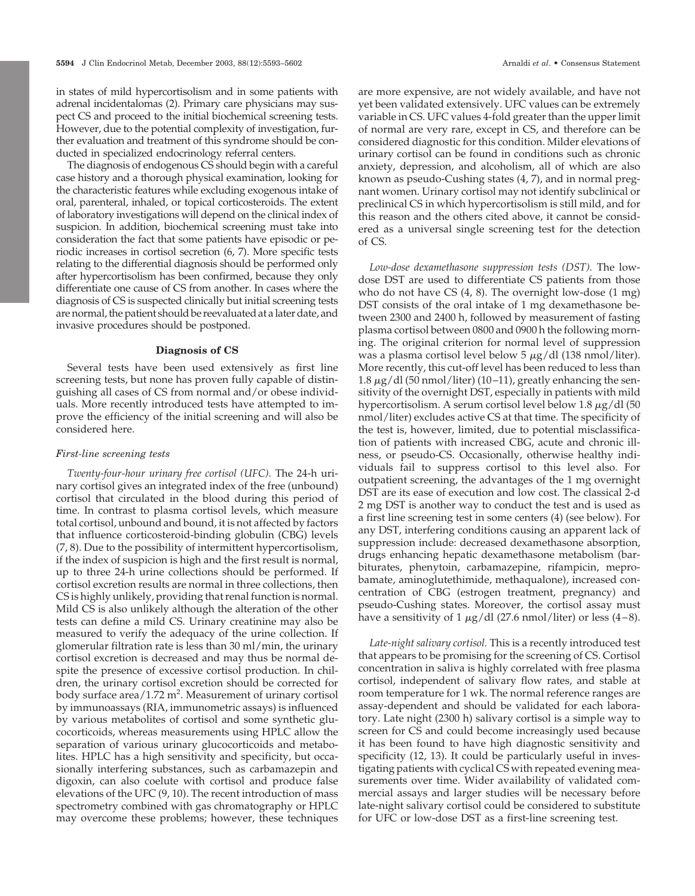in states of mild hypercortisolism and in some patients with adrenal incidentalomas (2). Primary care physicians may suspect CS and proceed to the initial biochemical screening tests. However, due to the potential complexity of investigation, further evaluation and treatment of this syndrome should be conducted in specialized endocrinology referral centers.

The diagnosis of endogenous CS should begin with a careful case history and a thorough physical examination, looking for the characteristic features while excluding exogenous intake of oral, parenteral, inhaled, or topical corticosteroids. The extent of laboratory investigations will depend on the clinical index of suspicion. In addition, biochemical screening must take into consideration the fact that some patients have episodic or periodic increases in cortisol secretion (6, 7). More specific tests relating to the differential diagnosis should be performed only after hypercortisolism has been confirmed, because they only differentiate one cause of CS from another. In cases where the diagnosis of CS is suspected clinically but initial screening tests are normal, the patient should be reevaluated at a later date, and invasive procedures should be postponed.

#### **Diagnosis of CS**

Several tests have been used extensively as first line screening tests, but none has proven fully capable of distinguishing all cases of CS from normal and/or obese individuals. More recently introduced tests have attempted to improve the efficiency of the initial screening and will also be considered here.

### *First-line screening tests*

*Twenty-four-hour urinary free cortisol (UFC).* The 24-h urinary cortisol gives an integrated index of the free (unbound) cortisol that circulated in the blood during this period of time. In contrast to plasma cortisol levels, which measure total cortisol, unbound and bound, it is not affected by factors that influence corticosteroid-binding globulin (CBG) levels (7, 8). Due to the possibility of intermittent hypercortisolism, if the index of suspicion is high and the first result is normal, up to three 24-h urine collections should be performed. If cortisol excretion results are normal in three collections, then CS is highly unlikely, providing that renal function is normal. Mild CS is also unlikely although the alteration of the other tests can define a mild CS. Urinary creatinine may also be measured to verify the adequacy of the urine collection. If glomerular filtration rate is less than 30 ml/min, the urinary cortisol excretion is decreased and may thus be normal despite the presence of excessive cortisol production. In children, the urinary cortisol excretion should be corrected for body surface area/1.72 m<sup>2</sup>. Measurement of urinary cortisol by immunoassays (RIA, immunometric assays) is influenced by various metabolites of cortisol and some synthetic glucocorticoids, whereas measurements using HPLC allow the separation of various urinary glucocorticoids and metabolites. HPLC has a high sensitivity and specificity, but occasionally interfering substances, such as carbamazepin and digoxin, can also coelute with cortisol and produce false elevations of the UFC (9, 10). The recent introduction of mass spectrometry combined with gas chromatography or HPLC may overcome these problems; however, these techniques

are more expensive, are not widely available, and have not yet been validated extensively. UFC values can be extremely variable in CS. UFC values 4-fold greater than the upper limit of normal are very rare, except in CS, and therefore can be considered diagnostic for this condition. Milder elevations of urinary cortisol can be found in conditions such as chronic anxiety, depression, and alcoholism, all of which are also known as pseudo-Cushing states (4, 7), and in normal pregnant women. Urinary cortisol may not identify subclinical or preclinical CS in which hypercortisolism is still mild, and for this reason and the others cited above, it cannot be considered as a universal single screening test for the detection of CS.

*Low-dose dexamethasone suppression tests (DST).* The lowdose DST are used to differentiate CS patients from those who do not have  $CS(4, 8)$ . The overnight low-dose  $(1 \text{ mg})$ DST consists of the oral intake of 1 mg dexamethasone between 2300 and 2400 h, followed by measurement of fasting plasma cortisol between 0800 and 0900 h the following morning. The original criterion for normal level of suppression was a plasma cortisol level below  $5 \mu g/dl$  (138 nmol/liter). More recently, this cut-off level has been reduced to less than  $1.8 \mu$ g/dl (50 nmol/liter) (10–11), greatly enhancing the sensitivity of the overnight DST, especially in patients with mild hypercortisolism. A serum cortisol level below 1.8  $\mu$ g/dl (50 nmol/liter) excludes active CS at that time. The specificity of the test is, however, limited, due to potential misclassification of patients with increased CBG, acute and chronic illness, or pseudo-CS. Occasionally, otherwise healthy individuals fail to suppress cortisol to this level also. For outpatient screening, the advantages of the 1 mg overnight DST are its ease of execution and low cost. The classical 2-d 2 mg DST is another way to conduct the test and is used as a first line screening test in some centers (4) (see below). For any DST, interfering conditions causing an apparent lack of suppression include: decreased dexamethasone absorption, drugs enhancing hepatic dexamethasone metabolism (barbiturates, phenytoin, carbamazepine, rifampicin, meprobamate, aminoglutethimide, methaqualone), increased concentration of CBG (estrogen treatment, pregnancy) and pseudo-Cushing states. Moreover, the cortisol assay must have a sensitivity of  $1 \mu g/dl$  (27.6 nmol/liter) or less (4–8).

*Late-night salivary cortisol.* This is a recently introduced test that appears to be promising for the screening of CS. Cortisol concentration in saliva is highly correlated with free plasma cortisol, independent of salivary flow rates, and stable at room temperature for 1 wk. The normal reference ranges are assay-dependent and should be validated for each laboratory. Late night (2300 h) salivary cortisol is a simple way to screen for CS and could become increasingly used because it has been found to have high diagnostic sensitivity and specificity (12, 13). It could be particularly useful in investigating patients with cyclical CS with repeated evening measurements over time. Wider availability of validated commercial assays and larger studies will be necessary before late-night salivary cortisol could be considered to substitute for UFC or low-dose DST as a first-line screening test.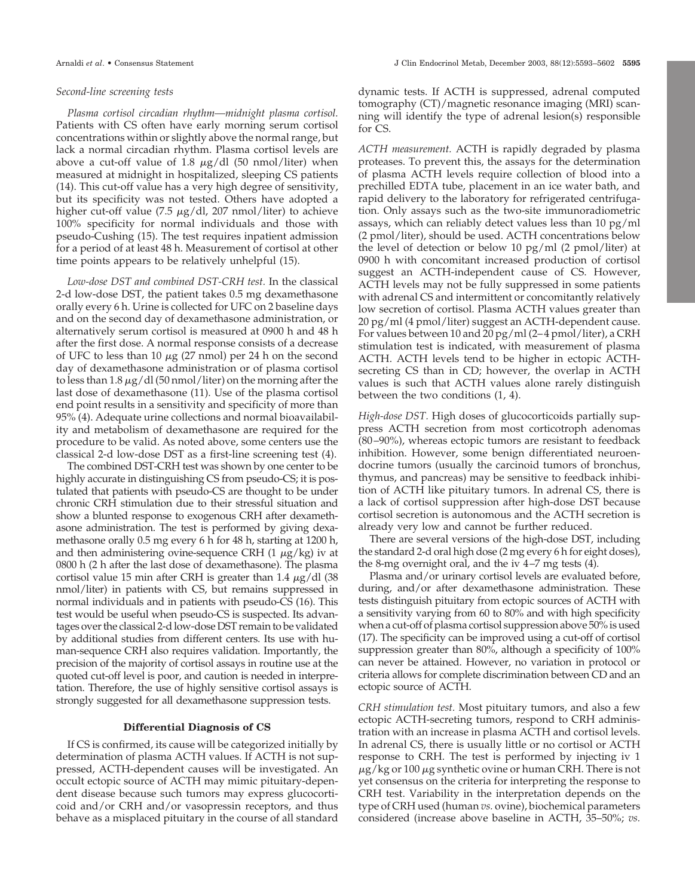## *Second-line screening tests*

*Plasma cortisol circadian rhythm—midnight plasma cortisol.* Patients with CS often have early morning serum cortisol concentrations within or slightly above the normal range, but lack a normal circadian rhythm. Plasma cortisol levels are above a cut-off value of 1.8  $\mu$ g/dl (50 nmol/liter) when measured at midnight in hospitalized, sleeping CS patients (14). This cut-off value has a very high degree of sensitivity, but its specificity was not tested. Others have adopted a higher cut-off value (7.5  $\mu$ g/dl, 207 nmol/liter) to achieve 100% specificity for normal individuals and those with pseudo-Cushing (15). The test requires inpatient admission for a period of at least 48 h. Measurement of cortisol at other time points appears to be relatively unhelpful (15).

*Low-dose DST and combined DST-CRH test.* In the classical 2-d low-dose DST, the patient takes 0.5 mg dexamethasone orally every 6 h. Urine is collected for UFC on 2 baseline days and on the second day of dexamethasone administration, or alternatively serum cortisol is measured at 0900 h and 48 h after the first dose. A normal response consists of a decrease of UFC to less than 10  $\mu$ g (27 nmol) per 24 h on the second day of dexamethasone administration or of plasma cortisol to less than 1.8  $\mu$ g/dl (50 nmol/liter) on the morning after the last dose of dexamethasone (11). Use of the plasma cortisol end point results in a sensitivity and specificity of more than 95% (4). Adequate urine collections and normal bioavailability and metabolism of dexamethasone are required for the procedure to be valid. As noted above, some centers use the classical 2-d low-dose DST as a first-line screening test (4).

The combined DST-CRH test was shown by one center to be highly accurate in distinguishing CS from pseudo-CS; it is postulated that patients with pseudo-CS are thought to be under chronic CRH stimulation due to their stressful situation and show a blunted response to exogenous CRH after dexamethasone administration. The test is performed by giving dexamethasone orally 0.5 mg every 6 h for 48 h, starting at 1200 h, and then administering ovine-sequence CRH  $(1 \mu g/kg)$  iv at 0800 h (2 h after the last dose of dexamethasone). The plasma cortisol value 15 min after CRH is greater than  $1.4 \mu g/dl$  (38) nmol/liter) in patients with CS, but remains suppressed in normal individuals and in patients with pseudo-CS (16). This test would be useful when pseudo-CS is suspected. Its advantages over the classical 2-d low-dose DST remain to be validated by additional studies from different centers. Its use with human-sequence CRH also requires validation. Importantly, the precision of the majority of cortisol assays in routine use at the quoted cut-off level is poor, and caution is needed in interpretation. Therefore, the use of highly sensitive cortisol assays is strongly suggested for all dexamethasone suppression tests.

## **Differential Diagnosis of CS**

If CS is confirmed, its cause will be categorized initially by determination of plasma ACTH values. If ACTH is not suppressed, ACTH-dependent causes will be investigated. An occult ectopic source of ACTH may mimic pituitary-dependent disease because such tumors may express glucocorticoid and/or CRH and/or vasopressin receptors, and thus behave as a misplaced pituitary in the course of all standard dynamic tests. If ACTH is suppressed, adrenal computed tomography (CT)/magnetic resonance imaging (MRI) scanning will identify the type of adrenal lesion(s) responsible for CS.

*ACTH measurement.* ACTH is rapidly degraded by plasma proteases. To prevent this, the assays for the determination of plasma ACTH levels require collection of blood into a prechilled EDTA tube, placement in an ice water bath, and rapid delivery to the laboratory for refrigerated centrifugation. Only assays such as the two-site immunoradiometric assays, which can reliably detect values less than 10 pg/ml (2 pmol/liter), should be used. ACTH concentrations below the level of detection or below 10 pg/ml (2 pmol/liter) at 0900 h with concomitant increased production of cortisol suggest an ACTH-independent cause of CS. However, ACTH levels may not be fully suppressed in some patients with adrenal CS and intermittent or concomitantly relatively low secretion of cortisol. Plasma ACTH values greater than 20 pg/ml (4 pmol/liter) suggest an ACTH-dependent cause. For values between 10 and 20 pg/ml (2–4 pmol/liter), a CRH stimulation test is indicated, with measurement of plasma ACTH. ACTH levels tend to be higher in ectopic ACTHsecreting CS than in CD; however, the overlap in ACTH values is such that ACTH values alone rarely distinguish between the two conditions (1, 4).

*High-dose DST.* High doses of glucocorticoids partially suppress ACTH secretion from most corticotroph adenomas (80–90%), whereas ectopic tumors are resistant to feedback inhibition. However, some benign differentiated neuroendocrine tumors (usually the carcinoid tumors of bronchus, thymus, and pancreas) may be sensitive to feedback inhibition of ACTH like pituitary tumors. In adrenal CS, there is a lack of cortisol suppression after high-dose DST because cortisol secretion is autonomous and the ACTH secretion is already very low and cannot be further reduced.

There are several versions of the high-dose DST, including the standard 2-d oral high dose (2 mg every 6 h for eight doses), the 8-mg overnight oral, and the iv 4–7 mg tests (4).

Plasma and/or urinary cortisol levels are evaluated before, during, and/or after dexamethasone administration. These tests distinguish pituitary from ectopic sources of ACTH with a sensitivity varying from 60 to 80% and with high specificity when a cut-off of plasma cortisol suppression above 50% is used (17). The specificity can be improved using a cut-off of cortisol suppression greater than 80%, although a specificity of 100% can never be attained. However, no variation in protocol or criteria allows for complete discrimination between CD and an ectopic source of ACTH.

*CRH stimulation test.* Most pituitary tumors, and also a few ectopic ACTH-secreting tumors, respond to CRH administration with an increase in plasma ACTH and cortisol levels. In adrenal CS, there is usually little or no cortisol or ACTH response to CRH. The test is performed by injecting iv 1  $\mu$ g/kg or 100  $\mu$ g synthetic ovine or human CRH. There is not yet consensus on the criteria for interpreting the response to CRH test. Variability in the interpretation depends on the type of CRH used (human *vs.* ovine), biochemical parameters considered (increase above baseline in ACTH, 35–50%; *vs.*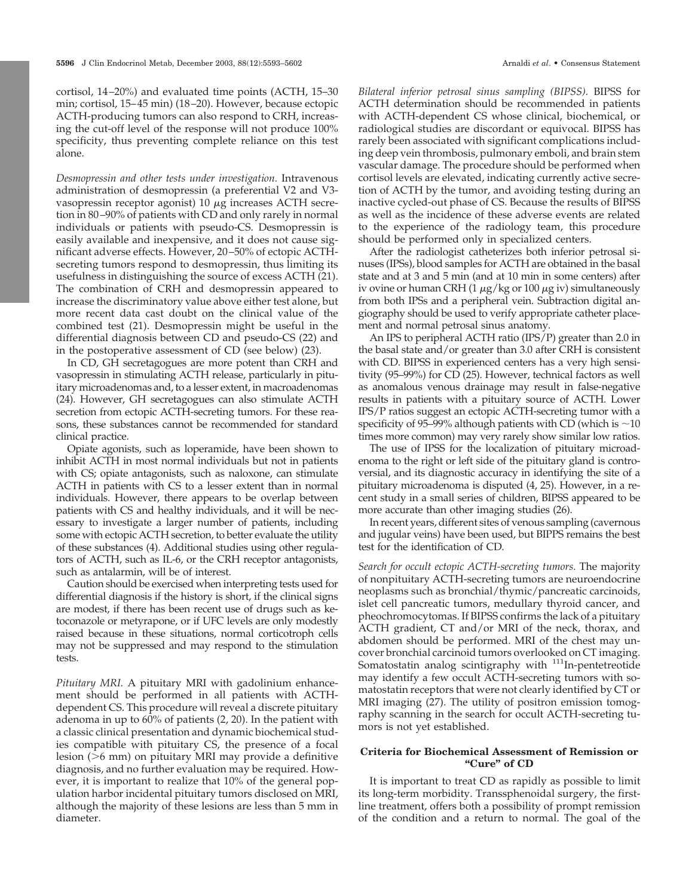cortisol, 14–20%) and evaluated time points (ACTH, 15–30 min; cortisol, 15–45 min) (18–20). However, because ectopic ACTH-producing tumors can also respond to CRH, increasing the cut-off level of the response will not produce 100% specificity, thus preventing complete reliance on this test alone.

*Desmopressin and other tests under investigation.* Intravenous administration of desmopressin (a preferential V2 and V3 vasopressin receptor agonist) 10  $\mu$ g increases ACTH secretion in 80–90% of patients with CD and only rarely in normal individuals or patients with pseudo-CS. Desmopressin is easily available and inexpensive, and it does not cause significant adverse effects. However, 20–50% of ectopic ACTHsecreting tumors respond to desmopressin, thus limiting its usefulness in distinguishing the source of excess ACTH (21). The combination of CRH and desmopressin appeared to increase the discriminatory value above either test alone, but more recent data cast doubt on the clinical value of the combined test (21). Desmopressin might be useful in the differential diagnosis between CD and pseudo-CS (22) and in the postoperative assessment of CD (see below) (23).

In CD, GH secretagogues are more potent than CRH and vasopressin in stimulating ACTH release, particularly in pituitary microadenomas and, to a lesser extent, in macroadenomas (24). However, GH secretagogues can also stimulate ACTH secretion from ectopic ACTH-secreting tumors. For these reasons, these substances cannot be recommended for standard clinical practice.

Opiate agonists, such as loperamide, have been shown to inhibit ACTH in most normal individuals but not in patients with CS; opiate antagonists, such as naloxone, can stimulate ACTH in patients with CS to a lesser extent than in normal individuals. However, there appears to be overlap between patients with CS and healthy individuals, and it will be necessary to investigate a larger number of patients, including some with ectopic ACTH secretion, to better evaluate the utility of these substances (4). Additional studies using other regulators of ACTH, such as IL-6, or the CRH receptor antagonists, such as antalarmin, will be of interest.

Caution should be exercised when interpreting tests used for differential diagnosis if the history is short, if the clinical signs are modest, if there has been recent use of drugs such as ketoconazole or metyrapone, or if UFC levels are only modestly raised because in these situations, normal corticotroph cells may not be suppressed and may respond to the stimulation tests.

*Pituitary MRI.* A pituitary MRI with gadolinium enhancement should be performed in all patients with ACTHdependent CS. This procedure will reveal a discrete pituitary adenoma in up to 60% of patients (2, 20). In the patient with a classic clinical presentation and dynamic biochemical studies compatible with pituitary CS, the presence of a focal lesion ( $>6$  mm) on pituitary MRI may provide a definitive diagnosis, and no further evaluation may be required. However, it is important to realize that 10% of the general population harbor incidental pituitary tumors disclosed on MRI, although the majority of these lesions are less than 5 mm in diameter.

*Bilateral inferior petrosal sinus sampling (BIPSS).* BIPSS for ACTH determination should be recommended in patients with ACTH-dependent CS whose clinical, biochemical, or radiological studies are discordant or equivocal. BIPSS has rarely been associated with significant complications including deep vein thrombosis, pulmonary emboli, and brain stem vascular damage. The procedure should be performed when cortisol levels are elevated, indicating currently active secretion of ACTH by the tumor, and avoiding testing during an inactive cycled-out phase of CS. Because the results of BIPSS as well as the incidence of these adverse events are related to the experience of the radiology team, this procedure should be performed only in specialized centers.

After the radiologist catheterizes both inferior petrosal sinuses (IPSs), blood samples for ACTH are obtained in the basal state and at 3 and 5 min (and at 10 min in some centers) after iv ovine or human CRH  $(1 \mu g/kg)$  or  $100 \mu g$  iv) simultaneously from both IPSs and a peripheral vein. Subtraction digital angiography should be used to verify appropriate catheter placement and normal petrosal sinus anatomy.

An IPS to peripheral ACTH ratio (IPS/P) greater than 2.0 in the basal state and/or greater than 3.0 after CRH is consistent with CD. BIPSS in experienced centers has a very high sensitivity (95–99%) for CD (25). However, technical factors as well as anomalous venous drainage may result in false-negative results in patients with a pituitary source of ACTH. Lower IPS/P ratios suggest an ectopic ACTH-secreting tumor with a specificity of 95–99% although patients with CD (which is  $\sim\!\!10$ times more common) may very rarely show similar low ratios.

The use of IPSS for the localization of pituitary microadenoma to the right or left side of the pituitary gland is controversial, and its diagnostic accuracy in identifying the site of a pituitary microadenoma is disputed (4, 25). However, in a recent study in a small series of children, BIPSS appeared to be more accurate than other imaging studies (26).

In recent years, different sites of venous sampling (cavernous and jugular veins) have been used, but BIPPS remains the best test for the identification of CD.

*Search for occult ectopic ACTH-secreting tumors.* The majority of nonpituitary ACTH-secreting tumors are neuroendocrine neoplasms such as bronchial/thymic/pancreatic carcinoids, islet cell pancreatic tumors, medullary thyroid cancer, and pheochromocytomas. If BIPSS confirms the lack of a pituitary ACTH gradient, CT and/or MRI of the neck, thorax, and abdomen should be performed. MRI of the chest may uncover bronchial carcinoid tumors overlooked on CT imaging. Somatostatin analog scintigraphy with <sup>111</sup>In-pentetreotide may identify a few occult ACTH-secreting tumors with somatostatin receptors that were not clearly identified by CT or MRI imaging (27). The utility of positron emission tomography scanning in the search for occult ACTH-secreting tumors is not yet established.

# **Criteria for Biochemical Assessment of Remission or "Cure" of CD**

It is important to treat CD as rapidly as possible to limit its long-term morbidity. Transsphenoidal surgery, the firstline treatment, offers both a possibility of prompt remission of the condition and a return to normal. The goal of the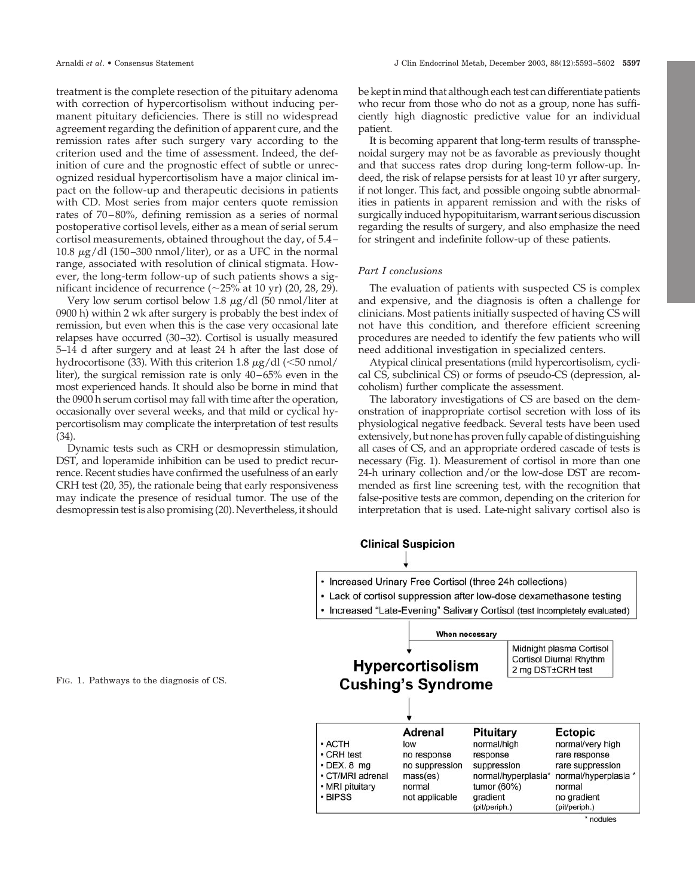treatment is the complete resection of the pituitary adenoma with correction of hypercortisolism without inducing permanent pituitary deficiencies. There is still no widespread agreement regarding the definition of apparent cure, and the remission rates after such surgery vary according to the criterion used and the time of assessment. Indeed, the definition of cure and the prognostic effect of subtle or unrecognized residual hypercortisolism have a major clinical impact on the follow-up and therapeutic decisions in patients with CD. Most series from major centers quote remission rates of 70–80%, defining remission as a series of normal postoperative cortisol levels, either as a mean of serial serum cortisol measurements, obtained throughout the day, of 5.4– 10.8  $\mu$ g/dl (150–300 nmol/liter), or as a UFC in the normal range, associated with resolution of clinical stigmata. However, the long-term follow-up of such patients shows a significant incidence of recurrence ( $\sim$ 25% at 10 yr) (20, 28, 29).

Very low serum cortisol below 1.8  $\mu$ g/dl (50 nmol/liter at 0900 h) within 2 wk after surgery is probably the best index of remission, but even when this is the case very occasional late relapses have occurred (30–32). Cortisol is usually measured 5–14 d after surgery and at least 24 h after the last dose of hydrocortisone (33). With this criterion 1.8  $\mu$ g/dl (<50 nmol/ liter), the surgical remission rate is only 40–65% even in the most experienced hands. It should also be borne in mind that the 0900 h serum cortisol may fall with time after the operation, occasionally over several weeks, and that mild or cyclical hypercortisolism may complicate the interpretation of test results (34).

Dynamic tests such as CRH or desmopressin stimulation, DST, and loperamide inhibition can be used to predict recurrence. Recent studies have confirmed the usefulness of an early CRH test (20, 35), the rationale being that early responsiveness may indicate the presence of residual tumor. The use of the desmopressin test is also promising (20). Nevertheless, it should be kept in mind that although each test can differentiate patients who recur from those who do not as a group, none has sufficiently high diagnostic predictive value for an individual patient.

It is becoming apparent that long-term results of transsphenoidal surgery may not be as favorable as previously thought and that success rates drop during long-term follow-up. Indeed, the risk of relapse persists for at least 10 yr after surgery, if not longer. This fact, and possible ongoing subtle abnormalities in patients in apparent remission and with the risks of surgically induced hypopituitarism, warrant serious discussion regarding the results of surgery, and also emphasize the need for stringent and indefinite follow-up of these patients.

## *Part I conclusions*

The evaluation of patients with suspected CS is complex and expensive, and the diagnosis is often a challenge for clinicians. Most patients initially suspected of having CS will not have this condition, and therefore efficient screening procedures are needed to identify the few patients who will need additional investigation in specialized centers.

Atypical clinical presentations (mild hypercortisolism, cyclical CS, subclinical CS) or forms of pseudo-CS (depression, alcoholism) further complicate the assessment.

The laboratory investigations of CS are based on the demonstration of inappropriate cortisol secretion with loss of its physiological negative feedback. Several tests have been used extensively, but none has proven fully capable of distinguishing all cases of CS, and an appropriate ordered cascade of tests is necessary (Fig. 1). Measurement of cortisol in more than one 24-h urinary collection and/or the low-dose DST are recommended as first line screening test, with the recognition that false-positive tests are common, depending on the criterion for interpretation that is used. Late-night salivary cortisol also is

# **Clinical Suspicion**



- Lack of cortisol suppression after low-dose dexamethasone testing
- Increased "Late-Evening" Salivary Cortisol (test incompletely evaluated)

|                           | <b>Hypercortisolism</b> |           | Midnight plasma Cortisol<br><b>Cortisol Diurnal Rhythm</b><br>2 mg DST±CRH test |  |
|---------------------------|-------------------------|-----------|---------------------------------------------------------------------------------|--|
| <b>Cushing's Syndrome</b> |                         |           |                                                                                 |  |
|                           | Adrenal                 | Pituitary | <b>Ectopic</b>                                                                  |  |

FIG. 1. Pathways to the diagnosis of CS.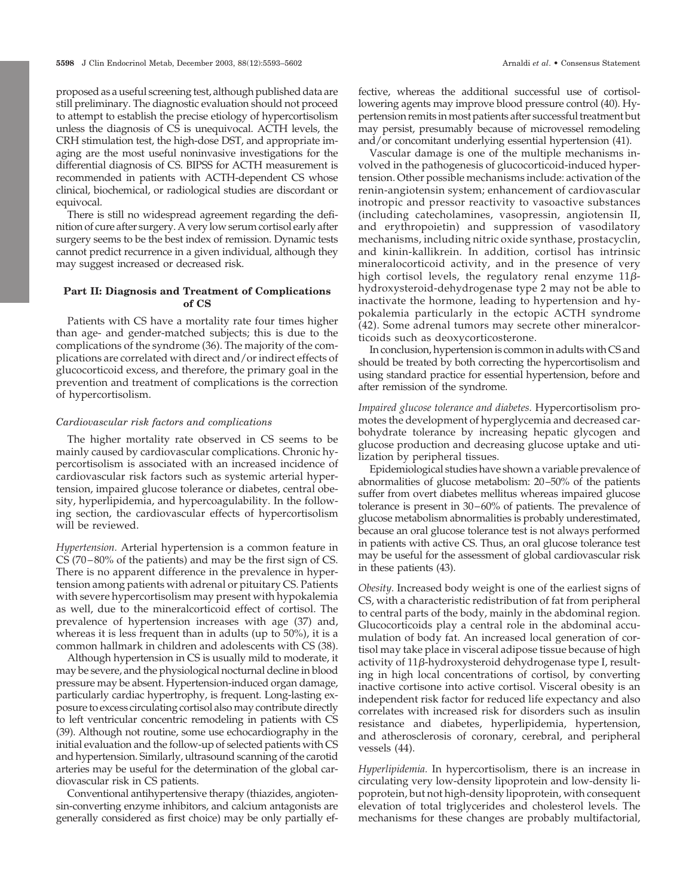proposed as a useful screening test, although published data are still preliminary. The diagnostic evaluation should not proceed to attempt to establish the precise etiology of hypercortisolism unless the diagnosis of CS is unequivocal. ACTH levels, the CRH stimulation test, the high-dose DST, and appropriate imaging are the most useful noninvasive investigations for the differential diagnosis of CS. BIPSS for ACTH measurement is recommended in patients with ACTH-dependent CS whose clinical, biochemical, or radiological studies are discordant or equivocal.

There is still no widespread agreement regarding the definition of cure after surgery. A very low serum cortisol early after surgery seems to be the best index of remission. Dynamic tests cannot predict recurrence in a given individual, although they may suggest increased or decreased risk.

# **Part II: Diagnosis and Treatment of Complications of CS**

Patients with CS have a mortality rate four times higher than age- and gender-matched subjects; this is due to the complications of the syndrome (36). The majority of the complications are correlated with direct and/or indirect effects of glucocorticoid excess, and therefore, the primary goal in the prevention and treatment of complications is the correction of hypercortisolism.

# *Cardiovascular risk factors and complications*

The higher mortality rate observed in CS seems to be mainly caused by cardiovascular complications. Chronic hypercortisolism is associated with an increased incidence of cardiovascular risk factors such as systemic arterial hypertension, impaired glucose tolerance or diabetes, central obesity, hyperlipidemia, and hypercoagulability. In the following section, the cardiovascular effects of hypercortisolism will be reviewed.

*Hypertension.* Arterial hypertension is a common feature in CS (70–80% of the patients) and may be the first sign of CS. There is no apparent difference in the prevalence in hypertension among patients with adrenal or pituitary CS. Patients with severe hypercortisolism may present with hypokalemia as well, due to the mineralcorticoid effect of cortisol. The prevalence of hypertension increases with age (37) and, whereas it is less frequent than in adults (up to 50%), it is a common hallmark in children and adolescents with CS (38).

Although hypertension in CS is usually mild to moderate, it may be severe, and the physiological nocturnal decline in blood pressure may be absent. Hypertension-induced organ damage, particularly cardiac hypertrophy, is frequent. Long-lasting exposure to excess circulating cortisol also may contribute directly to left ventricular concentric remodeling in patients with CS (39). Although not routine, some use echocardiography in the initial evaluation and the follow-up of selected patients with CS and hypertension. Similarly, ultrasound scanning of the carotid arteries may be useful for the determination of the global cardiovascular risk in CS patients.

Conventional antihypertensive therapy (thiazides, angiotensin-converting enzyme inhibitors, and calcium antagonists are generally considered as first choice) may be only partially effective, whereas the additional successful use of cortisollowering agents may improve blood pressure control (40). Hypertension remits in most patients after successful treatment but may persist, presumably because of microvessel remodeling and/or concomitant underlying essential hypertension (41).

Vascular damage is one of the multiple mechanisms involved in the pathogenesis of glucocorticoid-induced hypertension. Other possible mechanisms include: activation of the renin-angiotensin system; enhancement of cardiovascular inotropic and pressor reactivity to vasoactive substances (including catecholamines, vasopressin, angiotensin II, and erythropoietin) and suppression of vasodilatory mechanisms, including nitric oxide synthase, prostacyclin, and kinin-kallikrein. In addition, cortisol has intrinsic mineralocorticoid activity, and in the presence of very high cortisol levels, the regulatory renal enzyme 11 $\beta$ hydroxysteroid-dehydrogenase type 2 may not be able to inactivate the hormone, leading to hypertension and hypokalemia particularly in the ectopic ACTH syndrome (42). Some adrenal tumors may secrete other mineralcorticoids such as deoxycorticosterone.

In conclusion, hypertension is common in adults with CS and should be treated by both correcting the hypercortisolism and using standard practice for essential hypertension, before and after remission of the syndrome.

*Impaired glucose tolerance and diabetes.* Hypercortisolism promotes the development of hyperglycemia and decreased carbohydrate tolerance by increasing hepatic glycogen and glucose production and decreasing glucose uptake and utilization by peripheral tissues.

Epidemiological studies have shown a variable prevalence of abnormalities of glucose metabolism: 20–50% of the patients suffer from overt diabetes mellitus whereas impaired glucose tolerance is present in 30–60% of patients. The prevalence of glucose metabolism abnormalities is probably underestimated, because an oral glucose tolerance test is not always performed in patients with active CS. Thus, an oral glucose tolerance test may be useful for the assessment of global cardiovascular risk in these patients (43).

*Obesity.* Increased body weight is one of the earliest signs of CS, with a characteristic redistribution of fat from peripheral to central parts of the body, mainly in the abdominal region. Glucocorticoids play a central role in the abdominal accumulation of body fat. An increased local generation of cortisol may take place in visceral adipose tissue because of high activity of  $11\beta$ -hydroxysteroid dehydrogenase type I, resulting in high local concentrations of cortisol, by converting inactive cortisone into active cortisol. Visceral obesity is an independent risk factor for reduced life expectancy and also correlates with increased risk for disorders such as insulin resistance and diabetes, hyperlipidemia, hypertension, and atherosclerosis of coronary, cerebral, and peripheral vessels (44).

*Hyperlipidemia.* In hypercortisolism, there is an increase in circulating very low-density lipoprotein and low-density lipoprotein, but not high-density lipoprotein, with consequent elevation of total triglycerides and cholesterol levels. The mechanisms for these changes are probably multifactorial,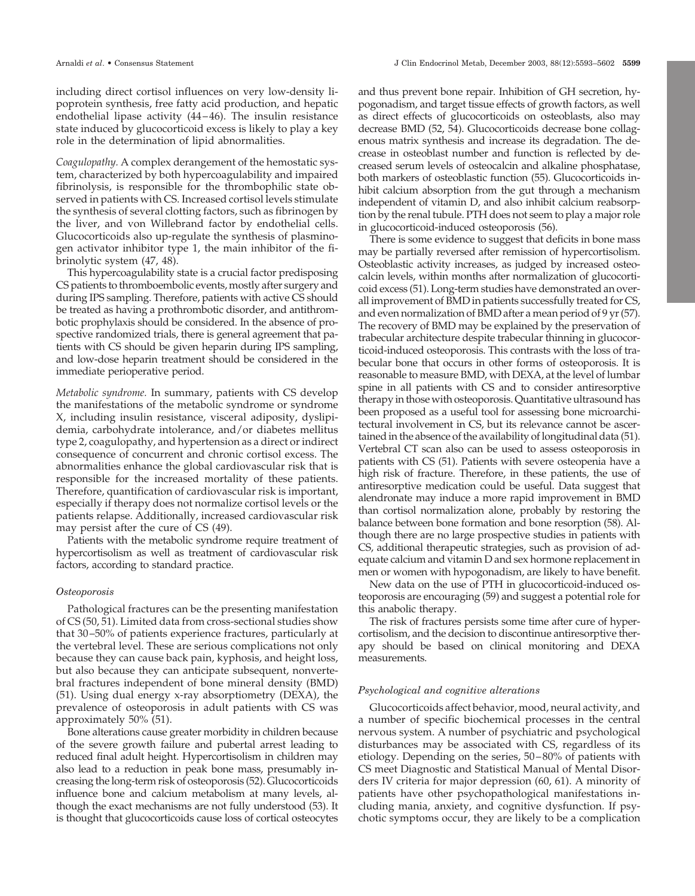including direct cortisol influences on very low-density lipoprotein synthesis, free fatty acid production, and hepatic endothelial lipase activity (44–46). The insulin resistance state induced by glucocorticoid excess is likely to play a key role in the determination of lipid abnormalities.

*Coagulopathy.* A complex derangement of the hemostatic system, characterized by both hypercoagulability and impaired fibrinolysis, is responsible for the thrombophilic state observed in patients with CS. Increased cortisol levels stimulate the synthesis of several clotting factors, such as fibrinogen by the liver, and von Willebrand factor by endothelial cells. Glucocorticoids also up-regulate the synthesis of plasminogen activator inhibitor type 1, the main inhibitor of the fibrinolytic system (47, 48).

This hypercoagulability state is a crucial factor predisposing CS patients to thromboembolic events, mostly after surgery and during IPS sampling. Therefore, patients with active CS should be treated as having a prothrombotic disorder, and antithrombotic prophylaxis should be considered. In the absence of prospective randomized trials, there is general agreement that patients with CS should be given heparin during IPS sampling, and low-dose heparin treatment should be considered in the immediate perioperative period.

*Metabolic syndrome.* In summary, patients with CS develop the manifestations of the metabolic syndrome or syndrome X, including insulin resistance, visceral adiposity, dyslipidemia, carbohydrate intolerance, and/or diabetes mellitus type 2, coagulopathy, and hypertension as a direct or indirect consequence of concurrent and chronic cortisol excess. The abnormalities enhance the global cardiovascular risk that is responsible for the increased mortality of these patients. Therefore, quantification of cardiovascular risk is important, especially if therapy does not normalize cortisol levels or the patients relapse. Additionally, increased cardiovascular risk may persist after the cure of CS (49).

Patients with the metabolic syndrome require treatment of hypercortisolism as well as treatment of cardiovascular risk factors, according to standard practice.

# *Osteoporosis*

Pathological fractures can be the presenting manifestation of CS (50, 51). Limited data from cross-sectional studies show that 30–50% of patients experience fractures, particularly at the vertebral level. These are serious complications not only because they can cause back pain, kyphosis, and height loss, but also because they can anticipate subsequent, nonvertebral fractures independent of bone mineral density (BMD) (51). Using dual energy x-ray absorptiometry (DEXA), the prevalence of osteoporosis in adult patients with CS was approximately 50% (51).

Bone alterations cause greater morbidity in children because of the severe growth failure and pubertal arrest leading to reduced final adult height. Hypercortisolism in children may also lead to a reduction in peak bone mass, presumably increasing the long-term risk of osteoporosis (52). Glucocorticoids influence bone and calcium metabolism at many levels, although the exact mechanisms are not fully understood (53). It is thought that glucocorticoids cause loss of cortical osteocytes and thus prevent bone repair. Inhibition of GH secretion, hypogonadism, and target tissue effects of growth factors, as well as direct effects of glucocorticoids on osteoblasts, also may decrease BMD (52, 54). Glucocorticoids decrease bone collagenous matrix synthesis and increase its degradation. The decrease in osteoblast number and function is reflected by decreased serum levels of osteocalcin and alkaline phosphatase, both markers of osteoblastic function (55). Glucocorticoids inhibit calcium absorption from the gut through a mechanism independent of vitamin D, and also inhibit calcium reabsorption by the renal tubule. PTH does not seem to play a major role in glucocorticoid-induced osteoporosis (56).

There is some evidence to suggest that deficits in bone mass may be partially reversed after remission of hypercortisolism. Osteoblastic activity increases, as judged by increased osteocalcin levels, within months after normalization of glucocorticoid excess (51). Long-term studies have demonstrated an overall improvement of BMD in patients successfully treated for CS, and even normalization of BMD after a mean period of 9 yr (57). The recovery of BMD may be explained by the preservation of trabecular architecture despite trabecular thinning in glucocorticoid-induced osteoporosis. This contrasts with the loss of trabecular bone that occurs in other forms of osteoporosis. It is reasonable to measure BMD, with DEXA, at the level of lumbar spine in all patients with CS and to consider antiresorptive therapy in those with osteoporosis. Quantitative ultrasound has been proposed as a useful tool for assessing bone microarchitectural involvement in CS, but its relevance cannot be ascertained in the absence of the availability of longitudinal data (51). Vertebral CT scan also can be used to assess osteoporosis in patients with CS (51). Patients with severe osteopenia have a high risk of fracture. Therefore, in these patients, the use of antiresorptive medication could be useful. Data suggest that alendronate may induce a more rapid improvement in BMD than cortisol normalization alone, probably by restoring the balance between bone formation and bone resorption (58). Although there are no large prospective studies in patients with CS, additional therapeutic strategies, such as provision of adequate calcium and vitamin D and sex hormone replacement in men or women with hypogonadism, are likely to have benefit.

New data on the use of PTH in glucocorticoid-induced osteoporosis are encouraging (59) and suggest a potential role for this anabolic therapy.

The risk of fractures persists some time after cure of hypercortisolism, and the decision to discontinue antiresorptive therapy should be based on clinical monitoring and DEXA measurements.

# *Psychological and cognitive alterations*

Glucocorticoids affect behavior, mood, neural activity, and a number of specific biochemical processes in the central nervous system. A number of psychiatric and psychological disturbances may be associated with CS, regardless of its etiology. Depending on the series, 50–80% of patients with CS meet Diagnostic and Statistical Manual of Mental Disorders IV criteria for major depression (60, 61). A minority of patients have other psychopathological manifestations including mania, anxiety, and cognitive dysfunction. If psychotic symptoms occur, they are likely to be a complication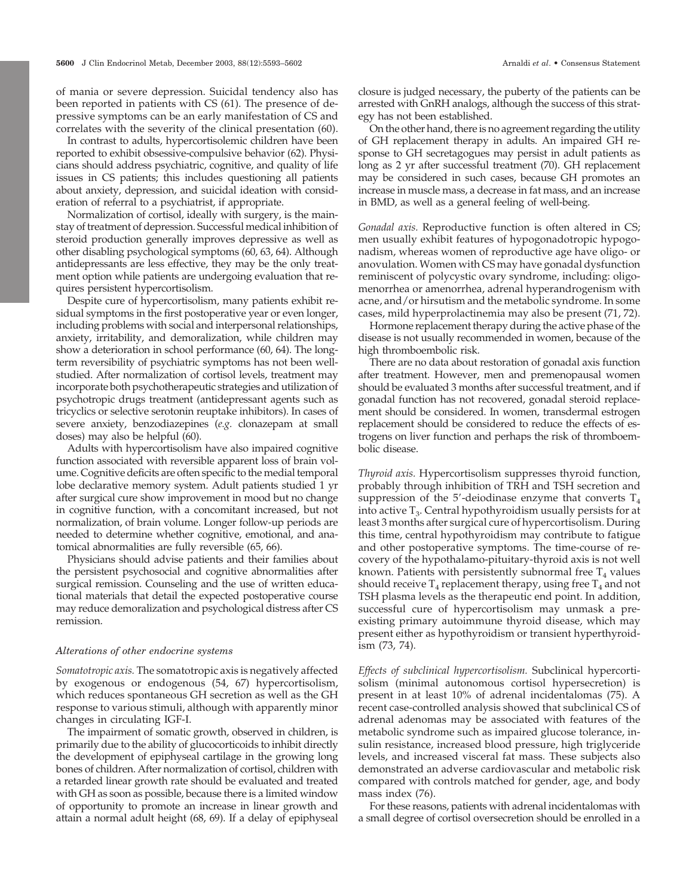of mania or severe depression. Suicidal tendency also has been reported in patients with CS (61). The presence of depressive symptoms can be an early manifestation of CS and correlates with the severity of the clinical presentation (60).

In contrast to adults, hypercortisolemic children have been reported to exhibit obsessive-compulsive behavior (62). Physicians should address psychiatric, cognitive, and quality of life issues in CS patients; this includes questioning all patients about anxiety, depression, and suicidal ideation with consideration of referral to a psychiatrist, if appropriate.

Normalization of cortisol, ideally with surgery, is the mainstay of treatment of depression. Successful medical inhibition of steroid production generally improves depressive as well as other disabling psychological symptoms (60, 63, 64). Although antidepressants are less effective, they may be the only treatment option while patients are undergoing evaluation that requires persistent hypercortisolism.

Despite cure of hypercortisolism, many patients exhibit residual symptoms in the first postoperative year or even longer, including problems with social and interpersonal relationships, anxiety, irritability, and demoralization, while children may show a deterioration in school performance (60, 64). The longterm reversibility of psychiatric symptoms has not been wellstudied. After normalization of cortisol levels, treatment may incorporate both psychotherapeutic strategies and utilization of psychotropic drugs treatment (antidepressant agents such as tricyclics or selective serotonin reuptake inhibitors). In cases of severe anxiety, benzodiazepines (*e.g.* clonazepam at small doses) may also be helpful (60).

Adults with hypercortisolism have also impaired cognitive function associated with reversible apparent loss of brain volume. Cognitive deficits are often specific to the medial temporal lobe declarative memory system. Adult patients studied 1 yr after surgical cure show improvement in mood but no change in cognitive function, with a concomitant increased, but not normalization, of brain volume. Longer follow-up periods are needed to determine whether cognitive, emotional, and anatomical abnormalities are fully reversible (65, 66).

Physicians should advise patients and their families about the persistent psychosocial and cognitive abnormalities after surgical remission. Counseling and the use of written educational materials that detail the expected postoperative course may reduce demoralization and psychological distress after CS remission.

### *Alterations of other endocrine systems*

*Somatotropic axis.* The somatotropic axis is negatively affected by exogenous or endogenous (54, 67) hypercortisolism, which reduces spontaneous GH secretion as well as the GH response to various stimuli, although with apparently minor changes in circulating IGF-I.

The impairment of somatic growth, observed in children, is primarily due to the ability of glucocorticoids to inhibit directly the development of epiphyseal cartilage in the growing long bones of children. After normalization of cortisol, children with a retarded linear growth rate should be evaluated and treated with GH as soon as possible, because there is a limited window of opportunity to promote an increase in linear growth and attain a normal adult height (68, 69). If a delay of epiphyseal closure is judged necessary, the puberty of the patients can be arrested with GnRH analogs, although the success of this strategy has not been established.

On the other hand, there is no agreement regarding the utility of GH replacement therapy in adults. An impaired GH response to GH secretagogues may persist in adult patients as long as 2 yr after successful treatment (70). GH replacement may be considered in such cases, because GH promotes an increase in muscle mass, a decrease in fat mass, and an increase in BMD, as well as a general feeling of well-being.

*Gonadal axis.* Reproductive function is often altered in CS; men usually exhibit features of hypogonadotropic hypogonadism, whereas women of reproductive age have oligo- or anovulation. Women with CS may have gonadal dysfunction reminiscent of polycystic ovary syndrome, including: oligomenorrhea or amenorrhea, adrenal hyperandrogenism with acne, and/or hirsutism and the metabolic syndrome. In some cases, mild hyperprolactinemia may also be present (71, 72).

Hormone replacement therapy during the active phase of the disease is not usually recommended in women, because of the high thromboembolic risk.

There are no data about restoration of gonadal axis function after treatment. However, men and premenopausal women should be evaluated 3 months after successful treatment, and if gonadal function has not recovered, gonadal steroid replacement should be considered. In women, transdermal estrogen replacement should be considered to reduce the effects of estrogens on liver function and perhaps the risk of thromboembolic disease.

*Thyroid axis.* Hypercortisolism suppresses thyroid function, probably through inhibition of TRH and TSH secretion and suppression of the 5'-deiodinase enzyme that converts  $T_4$ into active  $T_3$ . Central hypothyroidism usually persists for at least 3 months after surgical cure of hypercortisolism. During this time, central hypothyroidism may contribute to fatigue and other postoperative symptoms. The time-course of recovery of the hypothalamo-pituitary-thyroid axis is not well known. Patients with persistently subnormal free  $T_4$  values should receive  $T_4$  replacement therapy, using free  $T_4$  and not TSH plasma levels as the therapeutic end point. In addition, successful cure of hypercortisolism may unmask a preexisting primary autoimmune thyroid disease, which may present either as hypothyroidism or transient hyperthyroidism (73, 74).

*Effects of subclinical hypercortisolism.* Subclinical hypercortisolism (minimal autonomous cortisol hypersecretion) is present in at least 10% of adrenal incidentalomas (75). A recent case-controlled analysis showed that subclinical CS of adrenal adenomas may be associated with features of the metabolic syndrome such as impaired glucose tolerance, insulin resistance, increased blood pressure, high triglyceride levels, and increased visceral fat mass. These subjects also demonstrated an adverse cardiovascular and metabolic risk compared with controls matched for gender, age, and body mass index (76).

For these reasons, patients with adrenal incidentalomas with a small degree of cortisol oversecretion should be enrolled in a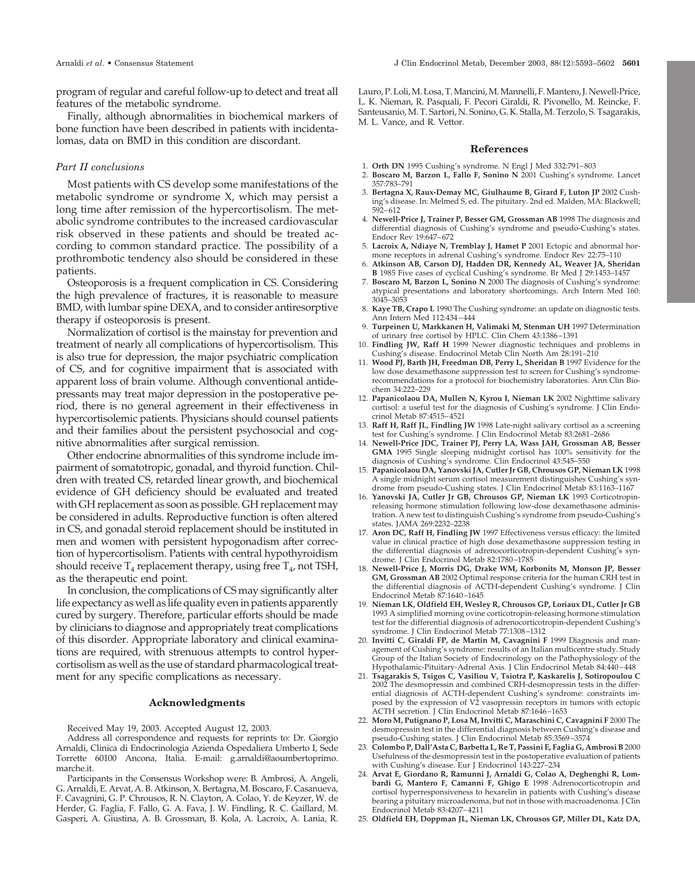program of regular and careful follow-up to detect and treat all features of the metabolic syndrome.

Finally, although abnormalities in biochemical markers of bone function have been described in patients with incidentalomas, data on BMD in this condition are discordant.

## *Part II conclusions*

Most patients with CS develop some manifestations of the metabolic syndrome or syndrome X, which may persist a long time after remission of the hypercortisolism. The metabolic syndrome contributes to the increased cardiovascular risk observed in these patients and should be treated according to common standard practice. The possibility of a prothrombotic tendency also should be considered in these patients.

Osteoporosis is a frequent complication in CS. Considering the high prevalence of fractures, it is reasonable to measure BMD, with lumbar spine DEXA, and to consider antiresorptive therapy if osteoporosis is present.

Normalization of cortisol is the mainstay for prevention and treatment of nearly all complications of hypercortisolism. This is also true for depression, the major psychiatric complication of CS, and for cognitive impairment that is associated with apparent loss of brain volume. Although conventional antidepressants may treat major depression in the postoperative period, there is no general agreement in their effectiveness in hypercortisolemic patients. Physicians should counsel patients and their families about the persistent psychosocial and cognitive abnormalities after surgical remission.

Other endocrine abnormalities of this syndrome include impairment of somatotropic, gonadal, and thyroid function. Children with treated CS, retarded linear growth, and biochemical evidence of GH deficiency should be evaluated and treated with GH replacement as soon as possible. GH replacement may be considered in adults. Reproductive function is often altered in CS, and gonadal steroid replacement should be instituted in men and women with persistent hypogonadism after correction of hypercortisolism. Patients with central hypothyroidism should receive  $T_4$  replacement therapy, using free  $T_4$ , not TSH, as the therapeutic end point.

In conclusion, the complications of CS may significantly alter life expectancy as well as life quality even in patients apparently cured by surgery. Therefore, particular efforts should be made by clinicians to diagnose and appropriately treat complications of this disorder. Appropriate laboratory and clinical examinations are required, with strenuous attempts to control hypercortisolism as well as the use of standard pharmacological treatment for any specific complications as necessary.

## **Acknowledgments**

Received May 19, 2003. Accepted August 12, 2003.

Address all correspondence and requests for reprints to: Dr. Giorgio Arnaldi, Clinica di Endocrinologia Azienda Ospedaliera Umberto I, Sede Torrette 60100 Ancona, Italia. E-mail: g.arnaldi@aoumbertoprimo. marche.it.

Participants in the Consensus Workshop were: B. Ambrosi, A. Angeli, G. Arnaldi, E. Arvat, A. B. Atkinson, X. Bertagna, M. Boscaro, F. Casanueva, F. Cavagnini, G. P. Chrousos, R. N. Clayton, A. Colao, Y. de Keyzer, W. de Herder, G. Faglia, F. Fallo, G. A. Fava, J. W. Findling, R. C. Gaillard, M. Gasperi, A. Giustina, A. B. Grossman, B. Kola, A. Lacroix, A. Lania, R.

Lauro, P. Loli, M. Losa, T. Mancini, M. Mannelli, F. Mantero, J. Newell-Price, L. K. Nieman, R. Pasquali, F. Pecori Giraldi, R. Pivonello, M. Reincke, F. Santeusanio, M. T. Sartori, N. Sonino, G. K. Stalla, M. Terzolo, S. Tsagarakis, M. L. Vance, and R. Vettor.

#### **References**

- 1. **Orth DN** 1995 Cushing's syndrome. N Engl J Med 332:791–803
- 2. **Boscaro M, Barzon L, Fallo F, Sonino N** 2001 Cushing's syndrome. Lancet 357:783–791
- 3. **Bertagna X, Raux-Demay MC, Giulhaume B, Girard F, Luton JP** 2002 Cushing's disease. In: Melmed S, ed. The pituitary. 2nd ed. Malden, MA: Blackwell; 592–612
- 4. **Newell-Price J, Trainer P, Besser GM, Grossman AB** 1998 The diagnosis and differential diagnosis of Cushing's syndrome and pseudo-Cushing's states. Endocr Rev 19:647–672
- 5. **Lacroix A, Ndiaye N, Tremblay J, Hamet P** 2001 Ectopic and abnormal hormone receptors in adrenal Cushing's syndrome. Endocr Rev 22:75–110
- 6. **Atkinson AB, Carson DJ, Hadden DR, Kennedy AL, Weaver JA, Sheridan B** 1985 Five cases of cyclical Cushing's syndrome. Br Med J 29:1453–1457
- 7. **Boscaro M, Barzon L, Sonino N** 2000 The diagnosis of Cushing's syndrome: atypical presentations and laboratory shortcomings. Arch Intern Med 160: 3045–3053
- 8. **Kaye TB, Crapo L** 1990 The Cushing syndrome: an update on diagnostic tests. Ann Intern Med 112:434–444
- 9. **Turpeinen U, Markkanen H, Valimaki M, Stenman UH** 1997 Determination of urinary free cortisol by HPLC. Clin Chem 43:1386–1391
- 10. **Findling JW, Raff H** 1999 Newer diagnostic techniques and problems in Cushing's disease. Endocrinol Metab Clin North Am 28:191–210
- 11. **Wood PJ, Barth JH, Freedman DB, Perry L, Sheridan B** 1997 Evidence for the low dose dexamethasone suppression test to screen for Cushing's syndromerecommendations for a protocol for biochemistry laboratories. Ann Clin Biochem 34:222–229
- 12. **Papanicolaou DA, Mullen N, Kyrou I, Nieman LK** 2002 Nighttime salivary cortisol: a useful test for the diagnosis of Cushing's syndrome. J Clin Endocrinol Metab 87:4515–4521
- 13. **Raff H, Raff JL, Findling JW** 1998 Late-night salivary cortisol as a screening
- test for Cushing's syndrome. J Clin Endocrinol Metab 83:2681–2686 14. **Newell-Price JDC, Trainer PJ, Perry LA, Wass JAH, Grossman AB, Besser GMA** 1995 Single sleeping midnight cortisol has 100% sensitivity for the diagnosis of Cushing's syndrome. Clin Endocrinol 43:545–550
- 15. **Papanicolaou DA, Yanovski JA, Cutler Jr GB, Chrousos GP, Nieman LK** 1998 A single midnight serum cortisol measurement distinguishes Cushing's syndrome from pseudo-Cushing states. J Clin Endocrinol Metab 83:1163–1167
- 16. **Yanovski JA, Cutler Jr GB, Chrousos GP, Nieman LK** 1993 Corticotropinreleasing hormone stimulation following low-dose dexamethasone administration. A new test to distinguish Cushing's syndrome from pseudo-Cushing's states. JAMA 269:2232–2238
- 17. **Aron DC, Raff H, Findling JW** 1997 Effectiveness versus efficacy: the limited value in clinical practice of high dose dexamethasone suppression testing in the differential diagnosis of adrenocorticotropin-dependent Cushing's syndrome. J Clin Endocrinol Metab 82:1780–1785
- 18. **Newell-Price J, Morris DG, Drake WM, Korbonits M, Monson JP, Besser GM, Grossman AB** 2002 Optimal response criteria for the human CRH test in the differential diagnosis of ACTH-dependent Cushing's syndrome. J Clin Endocrinol Metab 87:1640–1645
- 19. **Nieman LK, Oldfield EH, Wesley R, Chrousos GP, Loriaux DL, Cutler Jr GB** 1993 A simplified morning ovine corticotropin-releasing hormone stimulation test for the differential diagnosis of adrenocorticotropin-dependent Cushing's syndrome. J Clin Endocrinol Metab 77:1308–1312
- 20. **Invitti C, Giraldi FP, de Martin M, Cavagnini F** 1999 Diagnosis and management of Cushing's syndrome: results of an Italian multicentre study. Study Group of the Italian Society of Endocrinology on the Pathophysiology of the Hypothalamic-Pituitary-Adrenal Axis. J Clin Endocrinol Metab 84:440–448
- 21. **Tsagarakis S, Tsigos C, Vasiliou V, Tsiotra P, Kaskarelis J, Sotiropoulou C** 2002 The desmopressin and combined CRH-desmopressin tests in the differential diagnosis of ACTH-dependent Cushing's syndrome: constraints imposed by the expression of V2 vasopressin receptors in tumors with ectopic ACTH secretion. J Clin Endocrinol Metab 87:1646–1653
- 22. **Moro M, Putignano P, Losa M, Invitti C, Maraschini C, Cavagnini F** 2000 The desmopressin test in the differential diagnosis between Cushing's disease and pseudo-Cushing states. J Clin Endocrinol Metab 85:3569–3574
- 23. **Colombo P, Dall'Asta C, Barbetta L, Re T, Passini E, Faglia G, Ambrosi B** 2000 Usefulness of the desmopressin test in the postoperative evaluation of patients with Cushing's disease. Eur J Endocrinol 143:227–234
- 24. **Arvat E, Giordano R, Ramunni J, Arnaldi G, Colao A, Deghenghi R, Lombardi G, Mantero F, Camanni F, Ghigo E** 1998 Adrenocorticotropin and cortisol hyperresponsiveness to hexarelin in patients with Cushing's disease bearing a pituitary microadenoma, but not in those with macroadenoma. J Clin Endocrinol Metab 83:4207–4211
- 25. **Oldfield EH, Doppman JL, Nieman LK, Chrousos GP, Miller DL, Katz DA,**